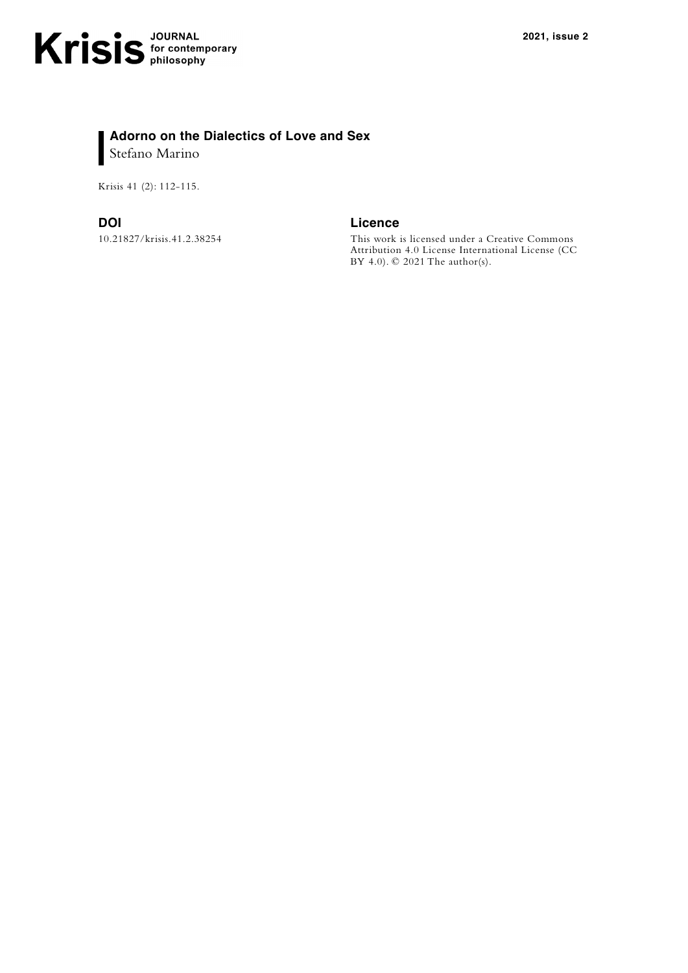## **Adorno on the Dialectics of Love and Sex**

Stefano Marino

Krisis 41 (2): 112-115.

10.21827/krisis.41.2.38254

**DOI Licence**

This work is licensed under a [Creative Commons](https://creativecommons.org/licenses/by-nc/3.0/)  [Attribution 4.0 License](https://creativecommons.org/licenses/by-nc/3.0/) International License (CC BY 4.0). © 2021 The author(s).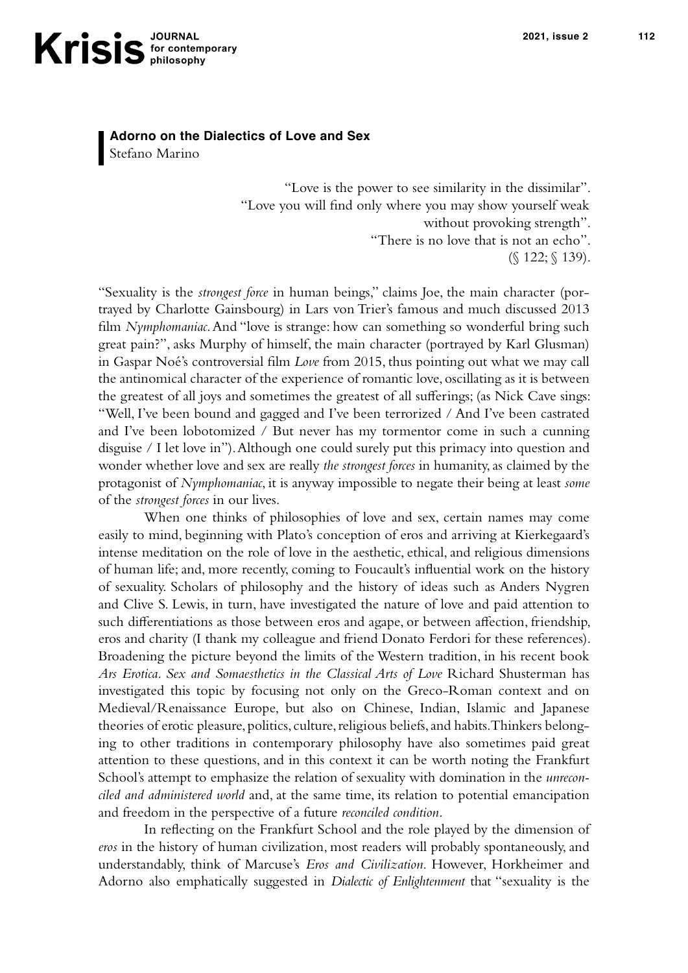# Krisis<sup>JOURNAL</sup>

# **Adorno on the Dialectics of Love and Sex**

Stefano Marino

"Love is the power to see similarity in the dissimilar". "Love you will find only where you may show yourself weak without provoking strength". "There is no love that is not an echo". (§ 122; § 139).

"Sexuality is the *strongest force* in human beings," claims Joe, the main character (portrayed by Charlotte Gainsbourg) in Lars von Trier's famous and much discussed 2013 film *Nymphomaniac*. And "love is strange: how can something so wonderful bring such great pain?", asks Murphy of himself, the main character (portrayed by Karl Glusman) in Gaspar Noé's controversial film *Love* from 2015, thus pointing out what we may call the antinomical character of the experience of romantic love, oscillating as it is between the greatest of all joys and sometimes the greatest of all sufferings; (as Nick Cave sings: "Well, I've been bound and gagged and I've been terrorized / And I've been castrated and I've been lobotomized / But never has my tormentor come in such a cunning disguise / I let love in"). Although one could surely put this primacy into question and wonder whether love and sex are really *the strongest forces* in humanity, as claimed by the protagonist of *Nymphomaniac*, it is anyway impossible to negate their being at least *some* of the *strongest forces* in our lives.

When one thinks of philosophies of love and sex, certain names may come easily to mind, beginning with Plato's conception of eros and arriving at Kierkegaard's intense meditation on the role of love in the aesthetic, ethical, and religious dimensions of human life; and, more recently, coming to Foucault's in#uential work on the history of sexuality. Scholars of philosophy and the history of ideas such as Anders Nygren and Clive S. Lewis, in turn, have investigated the nature of love and paid attention to such differentiations as those between eros and agape, or between affection, friendship, eros and charity (I thank my colleague and friend Donato Ferdori for these references). Broadening the picture beyond the limits of the Western tradition, in his recent book *Ars Erotica. Sex and Somaesthetics in the Classical Arts of Love* Richard Shusterman has investigated this topic by focusing not only on the Greco-Roman context and on Medieval/Renaissance Europe, but also on Chinese, Indian, Islamic and Japanese theories of erotic pleasure, politics, culture, religious beliefs, and habits. Thinkers belonging to other traditions in contemporary philosophy have also sometimes paid great attention to these questions, and in this context it can be worth noting the Frankfurt School's attempt to emphasize the relation of sexuality with domination in the *unreconciled and administered world* and, at the same time, its relation to potential emancipation and freedom in the perspective of a future *reconciled condition.* 

In reflecting on the Frankfurt School and the role played by the dimension of *eros* in the history of human civilization, most readers will probably spontaneously, and understandably, think of Marcuse's *Eros and Civilization*. However, Horkheimer and Adorno also emphatically suggested in *Dialectic of Enlightenment* that "sexuality is the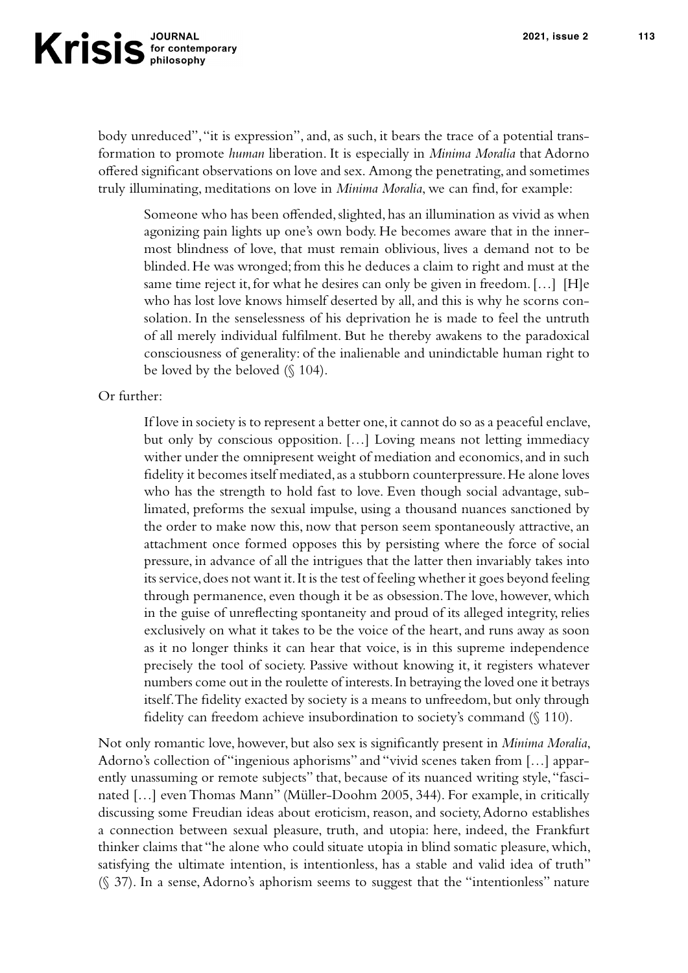body unreduced", "it is expression", and, as such, it bears the trace of a potential transformation to promote *human* liberation. It is especially in *Minima Moralia* that Adorno offered significant observations on love and sex. Among the penetrating, and sometimes truly illuminating, meditations on love in *Minima Moralia*, we can find, for example:

Someone who has been offended, slighted, has an illumination as vivid as when agonizing pain lights up one's own body. He becomes aware that in the innermost blindness of love, that must remain oblivious, lives a demand not to be blinded. He was wronged; from this he deduces a claim to right and must at the same time reject it, for what he desires can only be given in freedom. [...] [H]e who has lost love knows himself deserted by all, and this is why he scorns consolation. In the senselessness of his deprivation he is made to feel the untruth of all merely individual fulfilment. But he thereby awakens to the paradoxical consciousness of generality: of the inalienable and unindictable human right to be loved by the beloved  $(\S 104)$ .

## Or further:

If love in society is to represent a better one, it cannot do so as a peaceful enclave, but only by conscious opposition. […] Loving means not letting immediacy wither under the omnipresent weight of mediation and economics, and in such fidelity it becomes itself mediated, as a stubborn counterpressure. He alone loves who has the strength to hold fast to love. Even though social advantage, sublimated, preforms the sexual impulse, using a thousand nuances sanctioned by the order to make now this, now that person seem spontaneously attractive, an attachment once formed opposes this by persisting where the force of social pressure, in advance of all the intrigues that the latter then invariably takes into its service, does not want it. It is the test of feeling whether it goes beyond feeling through permanence, even though it be as obsession. The love, however, which in the guise of unreflecting spontaneity and proud of its alleged integrity, relies exclusively on what it takes to be the voice of the heart, and runs away as soon as it no longer thinks it can hear that voice, is in this supreme independence precisely the tool of society. Passive without knowing it, it registers whatever numbers come out in the roulette of interests. In betraying the loved one it betrays itself. The fidelity exacted by society is a means to unfreedom, but only through fidelity can freedom achieve insubordination to society's command  $(\S 110)$ .

Not only romantic love, however, but also sex is significantly present in *Minima Moralia*, Adorno's collection of "ingenious aphorisms" and "vivid scenes taken from […] apparently unassuming or remote subjects" that, because of its nuanced writing style, "fascinated […] even Thomas Mann" (Müller-Doohm 2005, 344). For example, in critically discussing some Freudian ideas about eroticism, reason, and society, Adorno establishes a connection between sexual pleasure, truth, and utopia: here, indeed, the Frankfurt thinker claims that "he alone who could situate utopia in blind somatic pleasure, which, satisfying the ultimate intention, is intentionless, has a stable and valid idea of truth" (§ 37). In a sense, Adorno's aphorism seems to suggest that the "intentionless" nature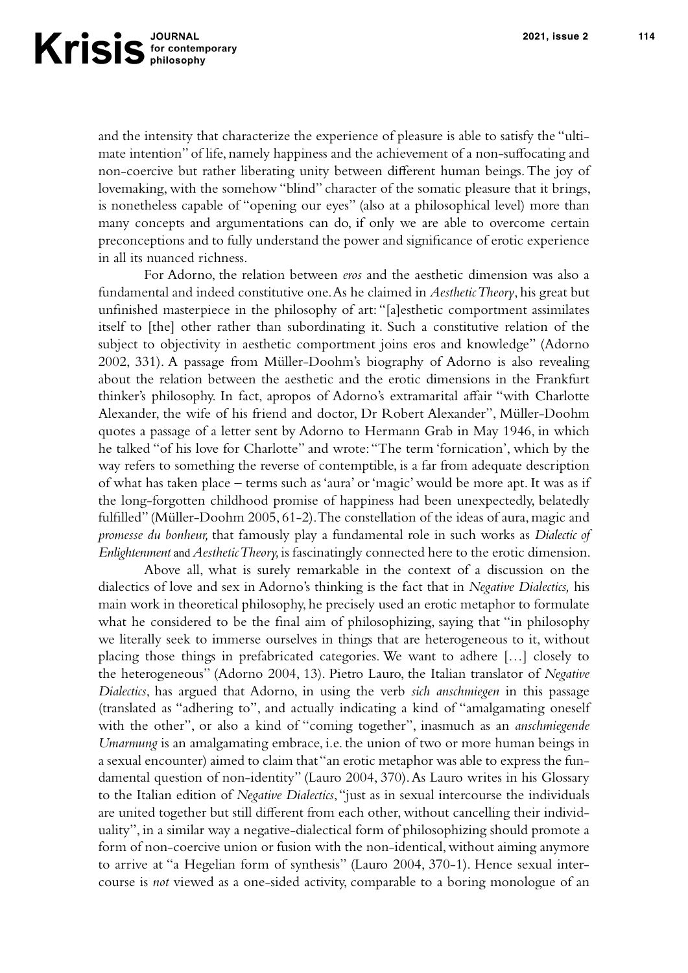and the intensity that characterize the experience of pleasure is able to satisfy the "ultimate intention" of life, namely happiness and the achievement of a non-suffocating and non-coercive but rather liberating unity between different human beings. The joy of lovemaking, with the somehow "blind" character of the somatic pleasure that it brings, is nonetheless capable of "opening our eyes" (also at a philosophical level) more than many concepts and argumentations can do, if only we are able to overcome certain preconceptions and to fully understand the power and significance of erotic experience in all its nuanced richness.

For Adorno, the relation between *eros* and the aesthetic dimension was also a fundamental and indeed constitutive one. As he claimed in *Aesthetic Theory*, his great but unfinished masterpiece in the philosophy of art: "[a]esthetic comportment assimilates itself to [the] other rather than subordinating it. Such a constitutive relation of the subject to objectivity in aesthetic comportment joins eros and knowledge" (Adorno 2002, 331). A passage from Müller-Doohm's biography of Adorno is also revealing about the relation between the aesthetic and the erotic dimensions in the Frankfurt thinker's philosophy. In fact, apropos of Adorno's extramarital affair "with Charlotte Alexander, the wife of his friend and doctor, Dr Robert Alexander", Müller-Doohm quotes a passage of a letter sent by Adorno to Hermann Grab in May 1946, in which he talked "of his love for Charlotte" and wrote: "The term 'fornication', which by the way refers to something the reverse of contemptible, is a far from adequate description of what has taken place – terms such as 'aura' or 'magic' would be more apt. It was as if the long-forgotten childhood promise of happiness had been unexpectedly, belatedly fulfilled" (Müller-Doohm 2005, 61-2). The constellation of the ideas of aura, magic and *promesse du bonheur,* that famously play a fundamental role in such works as *Dialectic of Enlightenment* and*Aesthetic Theory,* is fascinatingly connected here to the erotic dimension.

Above all, what is surely remarkable in the context of a discussion on the dialectics of love and sex in Adorno's thinking is the fact that in *Negative Dialectics,* his main work in theoretical philosophy, he precisely used an erotic metaphor to formulate what he considered to be the final aim of philosophizing, saying that "in philosophy we literally seek to immerse ourselves in things that are heterogeneous to it, without placing those things in prefabricated categories. We want to adhere […] closely to the heterogeneous" (Adorno 2004, 13). Pietro Lauro, the Italian translator of *Negative Dialectics*, has argued that Adorno, in using the verb *sich anschmiegen* in this passage (translated as "adhering to", and actually indicating a kind of "amalgamating oneself with the other", or also a kind of "coming together", inasmuch as an *anschmiegende Umarmung* is an amalgamating embrace, i.e. the union of two or more human beings in a sexual encounter) aimed to claim that "an erotic metaphor was able to express the fundamental question of non-identity" (Lauro 2004, 370). As Lauro writes in his Glossary to the Italian edition of *Negative Dialectics*, "just as in sexual intercourse the individuals are united together but still different from each other, without cancelling their individuality", in a similar way a negative-dialectical form of philosophizing should promote a form of non-coercive union or fusion with the non-identical, without aiming anymore to arrive at "a Hegelian form of synthesis" (Lauro 2004, 370-1). Hence sexual intercourse is *not* viewed as a one-sided activity, comparable to a boring monologue of an